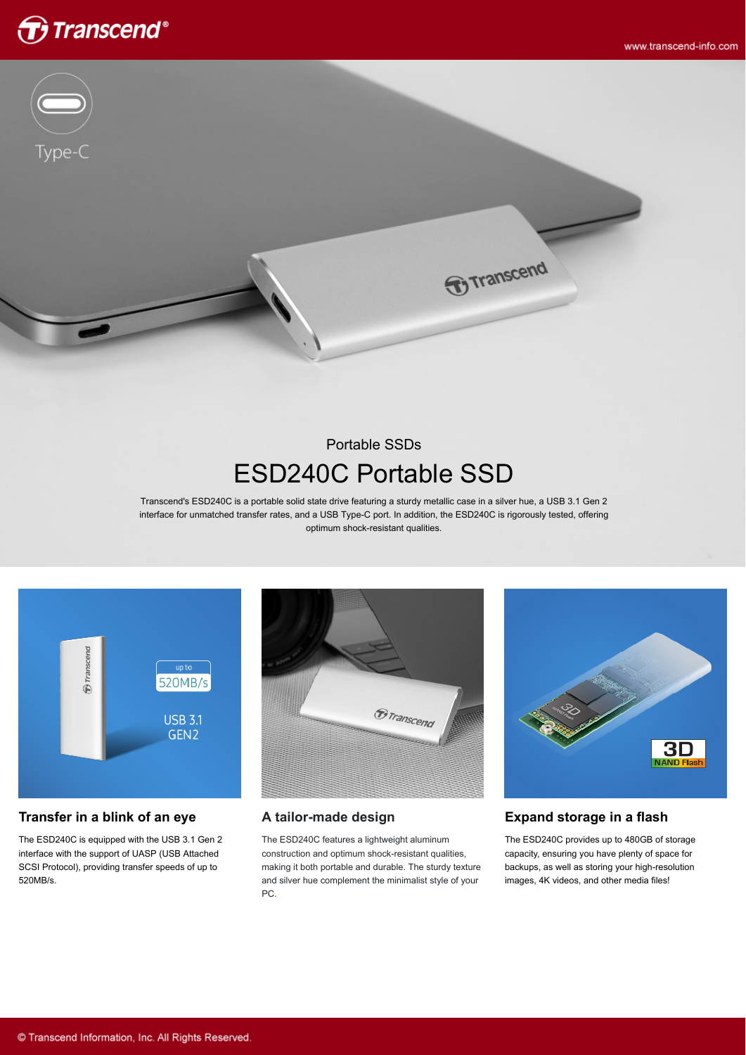



# Portable SSDs ESD240C Portable SSD

**T**ranscend

Transcend's ESD240C is a portable solid state drive featuring a sturdy metallic case in a silver hue, a USB 3.1 Gen 2 interface for unmatched transfer rates, and a USB Type-C port. In addition, the ESD240C is rigorously tested, offering optimum shock-resistant qualities.



#### **Transfer in a blink of an eye**

The ESD240C is equipped with the USB 3.1 Gen 2 interface with the support of UASP (USB Attached SCSI Protocol), providing transfer speeds of up to 520MB/s.



#### **A tailor-made design**

The ESD240C features a lightweight aluminum construction and optimum shock-resistant qualities, making it both portable and durable. The sturdy texture and silver hue complement the minimalist style of your PC.



The ESD240C provides up to 480GB of storage capacity, ensuring you have plenty of space for backups, as well as storing your high-resolution images, 4K videos, and other media files!

30